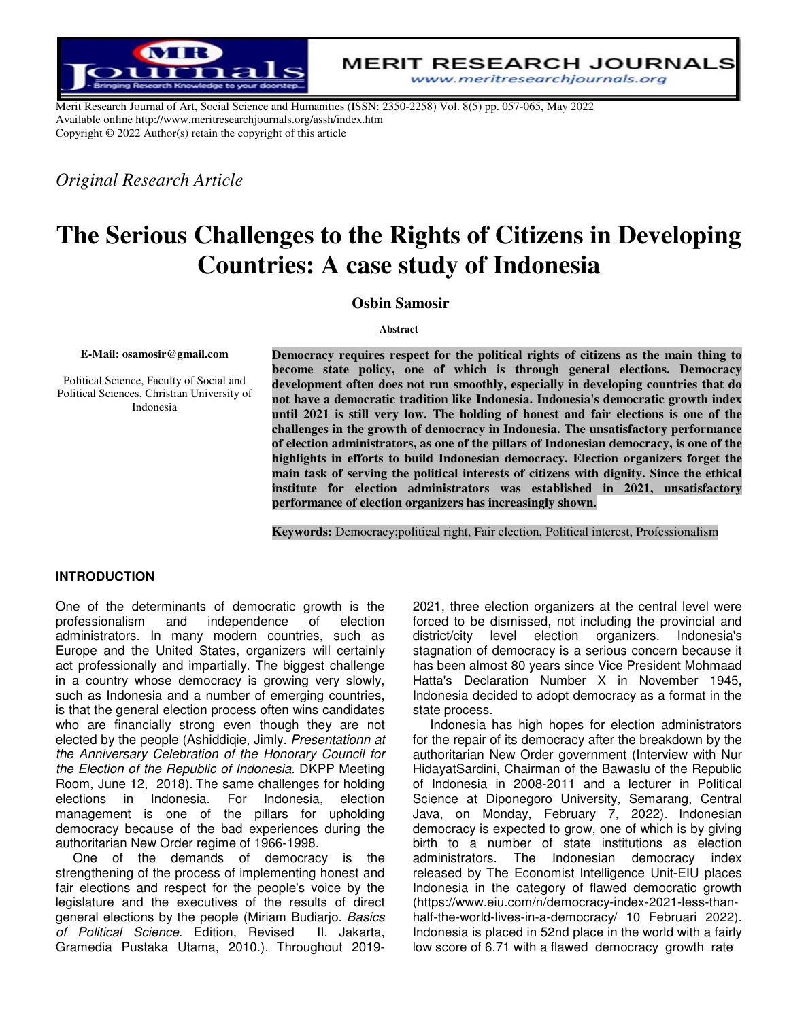

**MERIT RESEARCH JOURNALS** www.meritresearchjournals.org

Merit Research Journal of Art, Social Science and Humanities (ISSN: 2350-2258) Vol. 8(5) pp. 057-065, May 2022 Available online http://www.meritresearchjournals.org/assh/index.htm Copyright © 2022 Author(s) retain the copyright of this article

*Original Research Article*

# **The Serious Challenges to the Rights of Citizens in Developing Countries: A case study of Indonesia**

 **Osbin Samosir**

#### **Abstract**

#### **E-Mail: osamosir@gmail.com**

Political Science, Faculty of Social and Political Sciences, Christian University of Indonesia

**Democracy requires respect for the political rights of citizens as the main thing to become state policy, one of which is through general elections. Democracy development often does not run smoothly, especially in developing countries that do not have a democratic tradition like Indonesia. Indonesia's democratic growth index until 2021 is still very low. The holding of honest and fair elections is one of the challenges in the growth of democracy in Indonesia. The unsatisfactory performance of election administrators, as one of the pillars of Indonesian democracy, is one of the highlights in efforts to build Indonesian democracy. Election organizers forget the main task of serving the political interests of citizens with dignity. Since the ethical institute for election administrators was established in 2021, unsatisfactory performance of election organizers has increasingly shown.** 

**Keywords:** Democracy;political right, Fair election, Political interest, Professionalism

#### **INTRODUCTION**

One of the determinants of democratic growth is the professionalism and independence of election administrators. In many modern countries, such as Europe and the United States, organizers will certainly act professionally and impartially. The biggest challenge in a country whose democracy is growing very slowly, such as Indonesia and a number of emerging countries, is that the general election process often wins candidates who are financially strong even though they are not elected by the people (Ashiddiqie, Jimly. *Presentationn at the Anniversary Celebration of the Honorary Council for the Election of the Republic of Indonesia.* DKPP Meeting Room, June 12, 2018). The same challenges for holding elections in Indonesia. For Indonesia, election management is one of the pillars for upholding democracy because of the bad experiences during the authoritarian New Order regime of 1966-1998.

One of the demands of democracy is the strengthening of the process of implementing honest and fair elections and respect for the people's voice by the legislature and the executives of the results of direct general elections by the people (Miriam Budiarjo. *Basics of Political Science*. Edition, Revised II. Jakarta, Gramedia Pustaka Utama, 2010.). Throughout 20192021, three election organizers at the central level were forced to be dismissed, not including the provincial and district/city level election organizers. Indonesia's stagnation of democracy is a serious concern because it has been almost 80 years since Vice President Mohmaad Hatta's Declaration Number X in November 1945, Indonesia decided to adopt democracy as a format in the state process.

Indonesia has high hopes for election administrators for the repair of its democracy after the breakdown by the authoritarian New Order government (Interview with Nur HidayatSardini, Chairman of the Bawaslu of the Republic of Indonesia in 2008-2011 and a lecturer in Political Science at Diponegoro University, Semarang, Central Java, on Monday, February 7, 2022). Indonesian democracy is expected to grow, one of which is by giving birth to a number of state institutions as election administrators. The Indonesian democracy index released by The Economist Intelligence Unit-EIU places Indonesia in the category of flawed democratic growth (https://www.eiu.com/n/democracy-index-2021-less-thanhalf-the-world-lives-in-a-democracy/ 10 Februari 2022). Indonesia is placed in 52nd place in the world with a fairly low score of 6.71 with a flawed democracy growth rate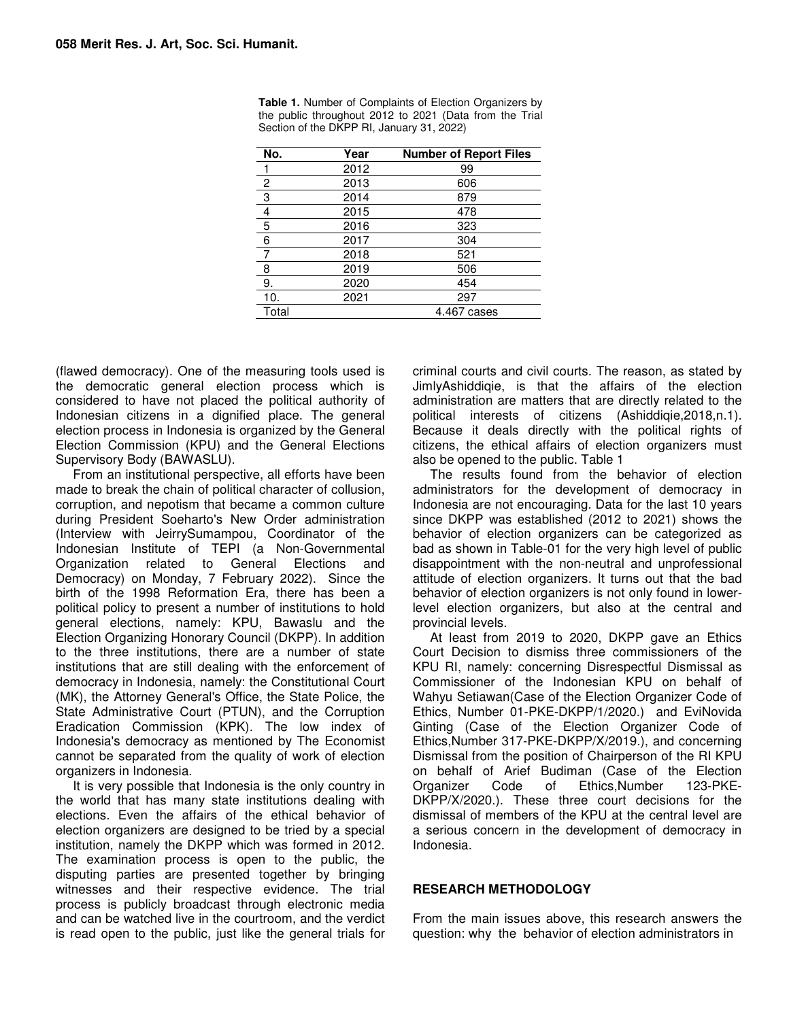| No.            | Year | <b>Number of Report Files</b> |
|----------------|------|-------------------------------|
|                | 2012 | 99                            |
| $\overline{2}$ | 2013 | 606                           |
| $\overline{3}$ | 2014 | 879                           |
| 4              | 2015 | 478                           |
| 5              | 2016 | 323                           |
| 6              | 2017 | 304                           |
|                | 2018 | 521                           |
| 8              | 2019 | 506                           |
| 9.             | 2020 | 454                           |
| 10.            | 2021 | 297                           |
| Total          |      | 4.467 cases                   |

Table 1. Number of Complaints of Election Organizers by the public throughout 2012 to 2021 (Data from the Trial Section of the DKPP RI, January 31, 2022)

(flawed democracy). One of the measuring tools used is the democratic general election process which is considered to have not placed the political authority of Indonesian citizens in a dignified place. The general election process in Indonesia is organized by the General Election Commission (KPU) and the General Elections Supervisory Body (BAWASLU).

From an institutional perspective, all efforts have been made to break the chain of political character of collusion, corruption, and nepotism that became a common culture during President Soeharto's New Order administration (Interview with JeirrySumampou, Coordinator of the Indonesian Institute of TEPI (a Non-Governmental Organization related to General Elections and Democracy) on Monday, 7 February 2022). Since the birth of the 1998 Reformation Era, there has been a political policy to present a number of institutions to hold general elections, namely: KPU, Bawaslu and the Election Organizing Honorary Council (DKPP). In addition to the three institutions, there are a number of state institutions that are still dealing with the enforcement of democracy in Indonesia, namely: the Constitutional Court (MK), the Attorney General's Office, the State Police, the State Administrative Court (PTUN), and the Corruption Eradication Commission (KPK). The low index of Indonesia's democracy as mentioned by The Economist cannot be separated from the quality of work of election organizers in Indonesia.

It is very possible that Indonesia is the only country in the world that has many state institutions dealing with elections. Even the affairs of the ethical behavior of election organizers are designed to be tried by a special institution, namely the DKPP which was formed in 2012. The examination process is open to the public, the disputing parties are presented together by bringing witnesses and their respective evidence. The trial process is publicly broadcast through electronic media and can be watched live in the courtroom, and the verdict is read open to the public, just like the general trials for

criminal courts and civil courts. The reason, as stated by JimlyAshiddiqie, is that the affairs of the election administration are matters that are directly related to the political interests of citizens (Ashiddiqie,2018,n.1). Because it deals directly with the political rights of citizens, the ethical affairs of election organizers must also be opened to the public. Table 1

The results found from the behavior of election administrators for the development of democracy in Indonesia are not encouraging. Data for the last 10 years since DKPP was established (2012 to 2021) shows the behavior of election organizers can be categorized as bad as shown in Table-01 for the very high level of public disappointment with the non-neutral and unprofessional attitude of election organizers. It turns out that the bad behavior of election organizers is not only found in lowerlevel election organizers, but also at the central and provincial levels.

At least from 2019 to 2020, DKPP gave an Ethics Court Decision to dismiss three commissioners of the KPU RI, namely: concerning Disrespectful Dismissal as Commissioner of the Indonesian KPU on behalf of Wahyu Setiawan Case of the Election Organizer Code of Ethics, Number 01-PKE-DKPP/1/2020.) and EviNovida Ginting (Case of the Election Organizer Code of Ethics,Number 317-PKE-DKPP/X/2019.), and concerning Dismissal from the position of Chairperson of the RI KPU on behalf of Arief Budiman (Case of the Election Organizer Code of Ethics,Number 123-PKE-DKPP/X/2020.). These three court decisions for the dismissal of members of the KPU at the central level are a serious concern in the development of democracy in Indonesia.

#### **RESEARCH METHODOLOGY**

From the main issues above, this research answers the question: why the behavior of election administrators in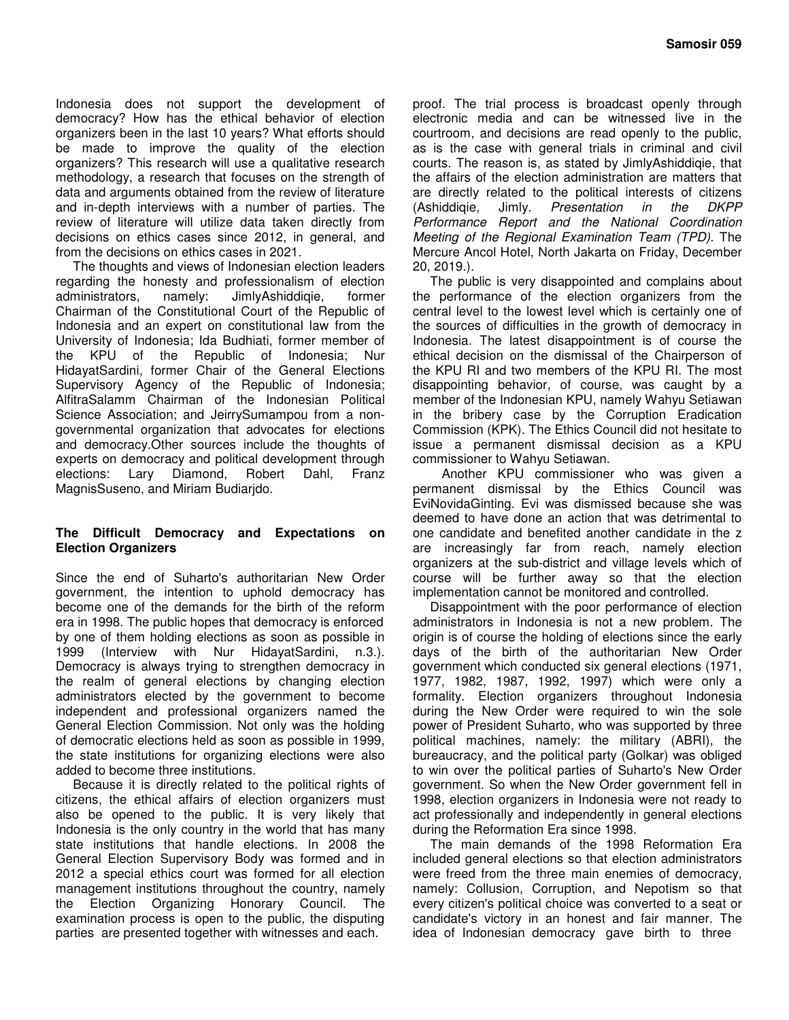Indonesia does not support the development of democracy? How has the ethical behavior of election organizers been in the last 10 years? What efforts should be made to improve the quality of the election organizers? This research will use a qualitative research methodology, a research that focuses on the strength of data and arguments obtained from the review of literature and in-depth interviews with a number of parties. The review of literature will utilize data taken directly from decisions on ethics cases since 2012, in general, and from the decisions on ethics cases in 2021.

The thoughts and views of Indonesian election leaders regarding the honesty and professionalism of election administrators, namely: JimlyAshiddiqie, former Chairman of the Constitutional Court of the Republic of Indonesia and an expert on constitutional law from the University of Indonesia; Ida Budhiati, former member of the KPU of the Republic of Indonesia; Nur HidayatSardini, former Chair of the General Elections Supervisory Agency of the Republic of Indonesia; AlfitraSalamm Chairman of the Indonesian Political Science Association; and JeirrySumampou from a nongovernmental organization that advocates for elections and democracy.Other sources include the thoughts of experts on democracy and political development through elections: Lary Diamond, Robert Dahl, Franz MagnisSuseno, and Miriam Budiarjdo.

#### **The Difficult Democracy and Expectations on Election Organizers**

Since the end of Suharto's authoritarian New Order government, the intention to uphold democracy has become one of the demands for the birth of the reform era in 1998. The public hopes that democracy is enforced by one of them holding elections as soon as possible in 1999 (Interview with Nur HidayatSardini, n.3.). Democracy is always trying to strengthen democracy in the realm of general elections by changing election administrators elected by the government to become independent and professional organizers named the General Election Commission. Not only was the holding of democratic elections held as soon as possible in 1999, the state institutions for organizing elections were also added to become three institutions.

Because it is directly related to the political rights of citizens, the ethical affairs of election organizers must also be opened to the public. It is very likely that Indonesia is the only country in the world that has many state institutions that handle elections. In 2008 the General Election Supervisory Body was formed and in 2012 a special ethics court was formed for all election management institutions throughout the country, namely the Election Organizing Honorary Council. The examination process is open to the public, the disputing parties are presented together with witnesses and each.

proof. The trial process is broadcast openly through electronic media and can be witnessed live in the courtroom, and decisions are read openly to the public, as is the case with general trials in criminal and civil courts. The reason is, as stated by JimlyAshiddiqie, that the affairs of the election administration are matters that are directly related to the political interests of citizens (Ashiddiqie, Jimly. *Presentation in the DKPP Performance Report and the National Coordination Meeting of the Regional Examination Team (TPD)*. The Mercure Ancol Hotel, North Jakarta on Friday, December 20, 2019.).

The public is very disappointed and complains about the performance of the election organizers from the central level to the lowest level which is certainly one of the sources of difficulties in the growth of democracy in Indonesia. The latest disappointment is of course the ethical decision on the dismissal of the Chairperson of the KPU RI and two members of the KPU RI. The most disappointing behavior, of course, was caught by a member of the Indonesian KPU, namely Wahyu Setiawan in the bribery case by the Corruption Eradication Commission (KPK). The Ethics Council did not hesitate to issue a permanent dismissal decision as a KPU commissioner to Wahyu Setiawan.

Another KPU commissioner who was given a permanent dismissal by the Ethics Council was EviNovidaGinting. Evi was dismissed because she was deemed to have done an action that was detrimental to one candidate and benefited another candidate in the z are increasingly far from reach, namely election organizers at the sub-district and village levels which of course will be further away so that the election implementation cannot be monitored and controlled.

Disappointment with the poor performance of election administrators in Indonesia is not a new problem. The origin is of course the holding of elections since the early days of the birth of the authoritarian New Order government which conducted six general elections (1971, 1977, 1982, 1987, 1992, 1997) which were only a formality. Election organizers throughout Indonesia during the New Order were required to win the sole power of President Suharto, who was supported by three political machines, namely: the military (ABRI), the bureaucracy, and the political party (Golkar) was obliged to win over the political parties of Suharto's New Order government. So when the New Order government fell in 1998, election organizers in Indonesia were not ready to act professionally and independently in general elections during the Reformation Era since 1998.

The main demands of the 1998 Reformation Era included general elections so that election administrators were freed from the three main enemies of democracy, namely: Collusion, Corruption, and Nepotism so that every citizen's political choice was converted to a seat or candidate's victory in an honest and fair manner. The idea of Indonesian democracy gave birth to three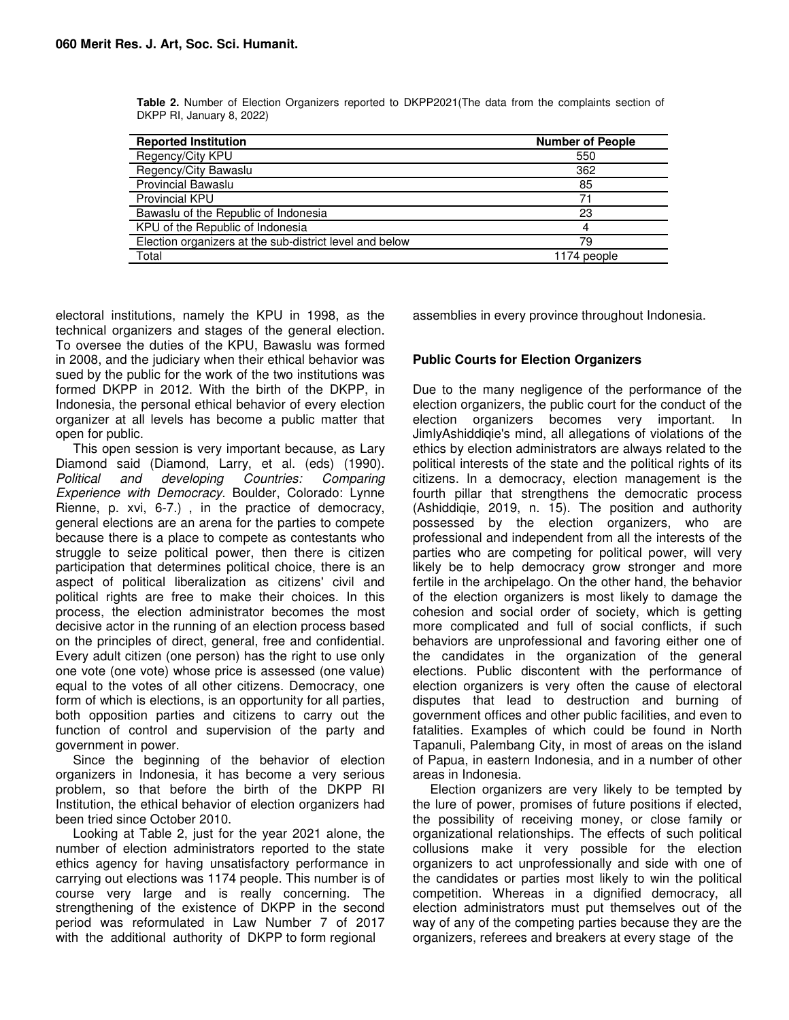| <b>Reported Institution</b>                             | <b>Number of People</b> |
|---------------------------------------------------------|-------------------------|
| Regency/City KPU                                        | 550                     |
| Regency/City Bawaslu                                    | 362                     |
| <b>Provincial Bawaslu</b>                               | 85                      |
| Provincial KPU                                          | 71                      |
| Bawaslu of the Republic of Indonesia                    | 23                      |
| KPU of the Republic of Indonesia                        | 4                       |
| Election organizers at the sub-district level and below | 79                      |
| Total                                                   | 1174 people             |

**Table 2.** Number of Election Organizers reported to DKPP2021(The data from the complaints section of DKPP RI, January 8, 2022)

electoral institutions, namely the KPU in 1998, as the technical organizers and stages of the general election. To oversee the duties of the KPU, Bawaslu was formed in 2008, and the judiciary when their ethical behavior was sued by the public for the work of the two institutions was formed DKPP in 2012. With the birth of the DKPP, in Indonesia, the personal ethical behavior of every election organizer at all levels has become a public matter that open for public.

This open session is very important because, as Lary Diamond said (Diamond, Larry, et al. (eds) (1990). *Political and developing Countries: Comparing Experience with Democracy*. Boulder, Colorado: Lynne Rienne, p. xvi, 6-7.) , in the practice of democracy, general elections are an arena for the parties to compete because there is a place to compete as contestants who struggle to seize political power, then there is citizen participation that determines political choice, there is an aspect of political liberalization as citizens' civil and political rights are free to make their choices. In this process, the election administrator becomes the most decisive actor in the running of an election process based on the principles of direct, general, free and confidential. Every adult citizen (one person) has the right to use only one vote (one vote) whose price is assessed (one value) equal to the votes of all other citizens. Democracy, one form of which is elections, is an opportunity for all parties, both opposition parties and citizens to carry out the function of control and supervision of the party and government in power.

Since the beginning of the behavior of election organizers in Indonesia, it has become a very serious problem, so that before the birth of the DKPP RI Institution, the ethical behavior of election organizers had been tried since October 2010.

Looking at Table 2, just for the year 2021 alone, the number of election administrators reported to the state ethics agency for having unsatisfactory performance in carrying out elections was 1174 people. This number is of course very large and is really concerning. The strengthening of the existence of DKPP in the second period was reformulated in Law Number 7 of 2017 with the additional authority of DKPP to form regional

assemblies in every province throughout Indonesia.

## **Public Courts for Election Organizers**

Due to the many negligence of the performance of the election organizers, the public court for the conduct of the election organizers becomes very important. In JimlyAshiddiqie's mind, all allegations of violations of the ethics by election administrators are always related to the political interests of the state and the political rights of its citizens. In a democracy, election management is the fourth pillar that strengthens the democratic process (Ashiddiqie, 2019, n. 15). The position and authority possessed by the election organizers, who are professional and independent from all the interests of the parties who are competing for political power, will very likely be to help democracy grow stronger and more fertile in the archipelago. On the other hand, the behavior of the election organizers is most likely to damage the cohesion and social order of society, which is getting more complicated and full of social conflicts, if such behaviors are unprofessional and favoring either one of the candidates in the organization of the general elections. Public discontent with the performance of election organizers is very often the cause of electoral disputes that lead to destruction and burning of government offices and other public facilities, and even to fatalities. Examples of which could be found in North Tapanuli, Palembang City, in most of areas on the island of Papua, in eastern Indonesia, and in a number of other areas in Indonesia.

Election organizers are very likely to be tempted by the lure of power, promises of future positions if elected, the possibility of receiving money, or close family or organizational relationships. The effects of such political collusions make it very possible for the election organizers to act unprofessionally and side with one of the candidates or parties most likely to win the political competition. Whereas in a dignified democracy, all election administrators must put themselves out of the way of any of the competing parties because they are the organizers, referees and breakers at every stage of the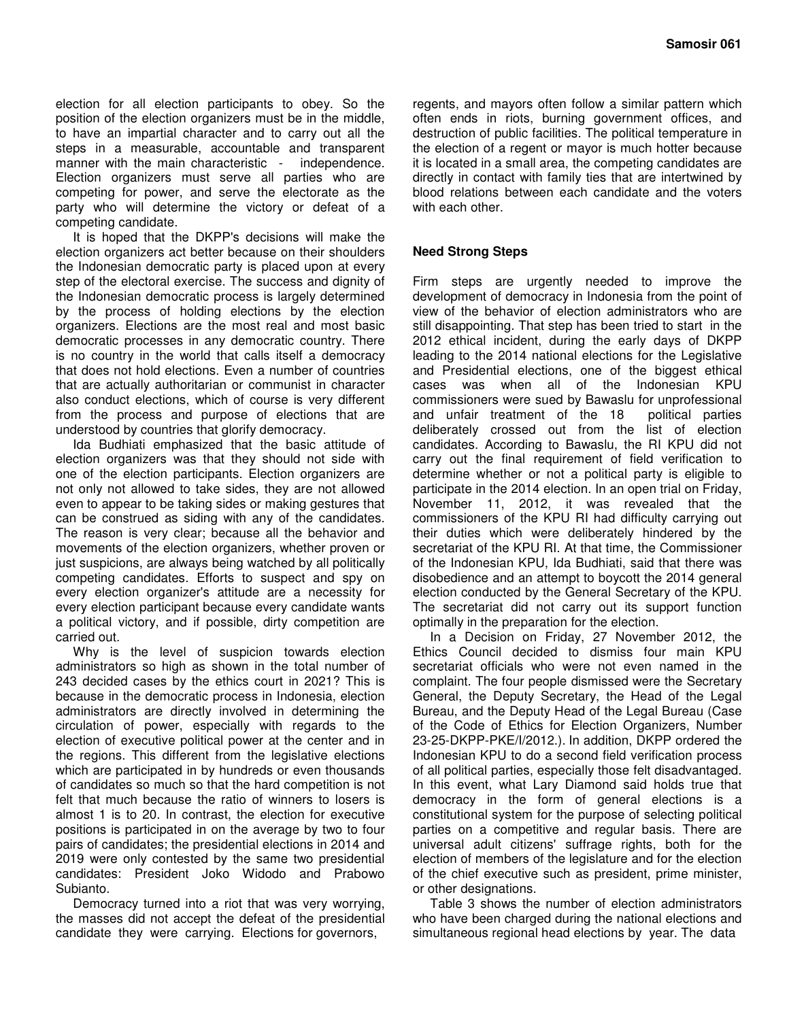election for all election participants to obey. So the position of the election organizers must be in the middle, to have an impartial character and to carry out all the steps in a measurable, accountable and transparent manner with the main characteristic - independence. Election organizers must serve all parties who are competing for power, and serve the electorate as the party who will determine the victory or defeat of a competing candidate.

It is hoped that the DKPP's decisions will make the election organizers act better because on their shoulders the Indonesian democratic party is placed upon at every step of the electoral exercise. The success and dignity of the Indonesian democratic process is largely determined by the process of holding elections by the election organizers. Elections are the most real and most basic democratic processes in any democratic country. There is no country in the world that calls itself a democracy that does not hold elections. Even a number of countries that are actually authoritarian or communist in character also conduct elections, which of course is very different from the process and purpose of elections that are understood by countries that glorify democracy.

Ida Budhiati emphasized that the basic attitude of election organizers was that they should not side with one of the election participants. Election organizers are not only not allowed to take sides, they are not allowed even to appear to be taking sides or making gestures that can be construed as siding with any of the candidates. The reason is very clear; because all the behavior and movements of the election organizers, whether proven or just suspicions, are always being watched by all politically competing candidates. Efforts to suspect and spy on every election organizer's attitude are a necessity for every election participant because every candidate wants a political victory, and if possible, dirty competition are carried out.

Why is the level of suspicion towards election administrators so high as shown in the total number of 243 decided cases by the ethics court in 2021? This is because in the democratic process in Indonesia, election administrators are directly involved in determining the circulation of power, especially with regards to the election of executive political power at the center and in the regions. This different from the legislative elections which are participated in by hundreds or even thousands of candidates so much so that the hard competition is not felt that much because the ratio of winners to losers is almost 1 is to 20. In contrast, the election for executive positions is participated in on the average by two to four pairs of candidates; the presidential elections in 2014 and 2019 were only contested by the same two presidential candidates: President Joko Widodo and Prabowo Subianto.

Democracy turned into a riot that was very worrying, the masses did not accept the defeat of the presidential candidate they were carrying. Elections for governors,

regents, and mayors often follow a similar pattern which often ends in riots, burning government offices, and destruction of public facilities. The political temperature in the election of a regent or mayor is much hotter because it is located in a small area, the competing candidates are directly in contact with family ties that are intertwined by blood relations between each candidate and the voters with each other.

### **Need Strong Steps**

Firm steps are urgently needed to improve the development of democracy in Indonesia from the point of view of the behavior of election administrators who are still disappointing. That step has been tried to start in the 2012 ethical incident, during the early days of DKPP leading to the 2014 national elections for the Legislative and Presidential elections, one of the biggest ethical cases was when all of the Indonesian KPU commissioners were sued by Bawaslu for unprofessional and unfair treatment of the 18 political parties deliberately crossed out from the list of election candidates. According to Bawaslu, the RI KPU did not carry out the final requirement of field verification to determine whether or not a political party is eligible to participate in the 2014 election. In an open trial on Friday, November 11, 2012, it was revealed that the commissioners of the KPU RI had difficulty carrying out their duties which were deliberately hindered by the secretariat of the KPU RI. At that time, the Commissioner of the Indonesian KPU, Ida Budhiati, said that there was disobedience and an attempt to boycott the 2014 general election conducted by the General Secretary of the KPU. The secretariat did not carry out its support function optimally in the preparation for the election.

In a Decision on Friday, 27 November 2012, the Ethics Council decided to dismiss four main KPU secretariat officials who were not even named in the complaint. The four people dismissed were the Secretary General, the Deputy Secretary, the Head of the Legal Bureau, and the Deputy Head of the Legal Bureau (Case of the Code of Ethics for Election Organizers, Number 23-25-DKPP-PKE/I/2012.). In addition, DKPP ordered the Indonesian KPU to do a second field verification process of all political parties, especially those felt disadvantaged. In this event, what Lary Diamond said holds true that democracy in the form of general elections is a constitutional system for the purpose of selecting political parties on a competitive and regular basis. There are universal adult citizens' suffrage rights, both for the election of members of the legislature and for the election of the chief executive such as president, prime minister, or other designations.

Table 3 shows the number of election administrators who have been charged during the national elections and simultaneous regional head elections by year. The data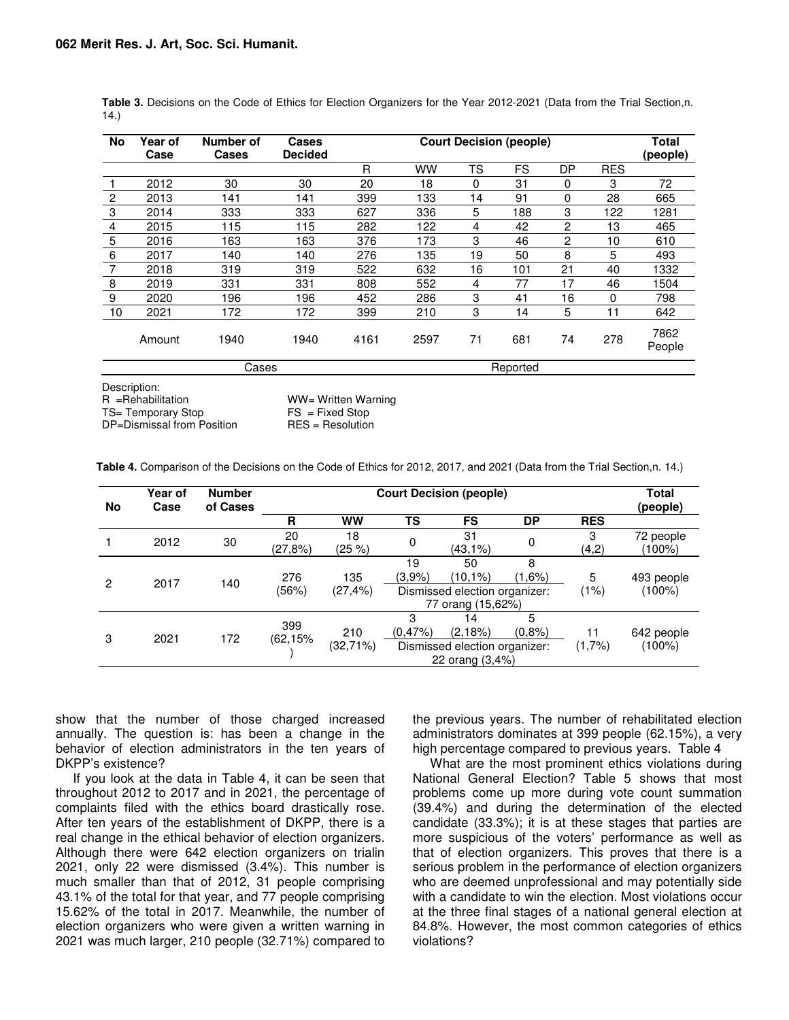| No              | Year of<br>Case | <b>Number of</b><br><b>Cases</b> | <b>Cases</b><br><b>Decided</b> | <b>Court Decision (people)</b> |           |    |          | <b>Total</b><br>(people) |            |                |
|-----------------|-----------------|----------------------------------|--------------------------------|--------------------------------|-----------|----|----------|--------------------------|------------|----------------|
|                 |                 |                                  |                                | R                              | <b>WW</b> | TS | FS       | DP                       | <b>RES</b> |                |
|                 | 2012            | 30                               | 30                             | 20                             | 18        | 0  | 31       | 0                        | 3          | 72             |
| $\overline{c}$  | 2013            | 141                              | 141                            | 399                            | 133       | 14 | 91       | $\Omega$                 | 28         | 665            |
| 3               | 2014            | 333                              | 333                            | 627                            | 336       | 5  | 188      | 3                        | 122        | 1281           |
| 4               | 2015            | 115                              | 115                            | 282                            | 122       | 4  | 42       | 2                        | 13         | 465            |
| 5               | 2016            | 163                              | 163                            | 376                            | 173       | 3  | 46       | 2                        | 10         | 610            |
| 6               | 2017            | 140                              | 140                            | 276                            | 135       | 19 | 50       | 8                        | 5          | 493            |
| 7               | 2018            | 319                              | 319                            | 522                            | 632       | 16 | 101      | 21                       | 40         | 1332           |
| 8               | 2019            | 331                              | 331                            | 808                            | 552       | 4  | 77       | 17                       | 46         | 1504           |
| 9               | 2020            | 196                              | 196                            | 452                            | 286       | 3  | 41       | 16                       | $\Omega$   | 798            |
| 10              | 2021            | 172                              | 172                            | 399                            | 210       | 3  | 14       | 5                        | 11         | 642            |
|                 | Amount          | 1940                             | 1940                           | 4161                           | 2597      | 71 | 681      | 74                       | 278        | 7862<br>People |
|                 |                 | Cases                            |                                |                                |           |    | Reported |                          |            |                |
| $D$ aaayintian: |                 |                                  |                                |                                |           |    |          |                          |            |                |

**Table 3.** Decisions on the Code of Ethics for Election Organizers for the Year 2012-2021 (Data from the Trial Section,n. 14*.*)

Description:

R =Rehabilitation WW= Witten Warning<br>
TS= Temporary Stop TS = Fixed Stop TS= Temporary Stop FS = Fixed Stop<br>DP=Dismissal from Position RES = Resolution

**Table 4.** Comparison of the Decisions on the Code of Ethics for 2012, 2017, and 2021 (Data from the Trial Section,n. 14*.*)

| <b>No</b> | Year of<br>Case | <b>Number</b><br>of Cases | <b>Court Decision (people)</b> |                    |                 |                                                                         | Total<br>(people) |             |                      |
|-----------|-----------------|---------------------------|--------------------------------|--------------------|-----------------|-------------------------------------------------------------------------|-------------------|-------------|----------------------|
|           |                 |                           | R                              | <b>WW</b>          | TS              | FS                                                                      | <b>DP</b>         | <b>RES</b>  |                      |
|           | 2012            | 30                        | 20<br>(27,8%)                  | 18<br>(25 %)       | 0               | 31<br>(43,1%)                                                           | 0                 | 3<br>(4,2)  | 72 people<br>(100%)  |
| 2         | 2017            | 140                       | 276<br>(56%)                   | 135<br>$(27, 4\%)$ | 19<br>$(3.9\%)$ | 50<br>$(10, 1\%)$<br>Dismissed election organizer:<br>77 orang (15,62%) | 8<br>$(1.6\%)$    | 5<br>(1%)   | 493 people<br>(100%) |
| 3         | 2021            | 172                       | 399<br>(62,15%)                | 210<br>(32,71%)    | 3<br>(0.47%)    | 14<br>(2,18%)<br>Dismissed election organizer:<br>22 orang (3,4%)       | 5<br>(0.8%        | 11<br>(1,7% | 642 people<br>(100%) |

show that the number of those charged increased annually. The question is: has been a change in the behavior of election administrators in the ten years of DKPP's existence?

If you look at the data in Table 4, it can be seen that throughout 2012 to 2017 and in 2021, the percentage of complaints filed with the ethics board drastically rose. After ten years of the establishment of DKPP, there is a real change in the ethical behavior of election organizers. Although there were 642 election organizers on trialin 2021, only 22 were dismissed (3.4%). This number is much smaller than that of 2012, 31 people comprising 43.1% of the total for that year, and 77 people comprising 15.62% of the total in 2017. Meanwhile, the number of election organizers who were given a written warning in 2021 was much larger, 210 people (32.71%) compared to

the previous years. The number of rehabilitated election administrators dominates at 399 people (62.15%), a very high percentage compared to previous years. Table 4

What are the most prominent ethics violations during National General Election? Table 5 shows that most problems come up more during vote count summation (39.4%) and during the determination of the elected candidate (33.3%); it is at these stages that parties are more suspicious of the voters' performance as well as that of election organizers. This proves that there is a serious problem in the performance of election organizers who are deemed unprofessional and may potentially side with a candidate to win the election. Most violations occur at the three final stages of a national general election at 84.8%. However, the most common categories of ethics violations?

DP=Dismissal from Position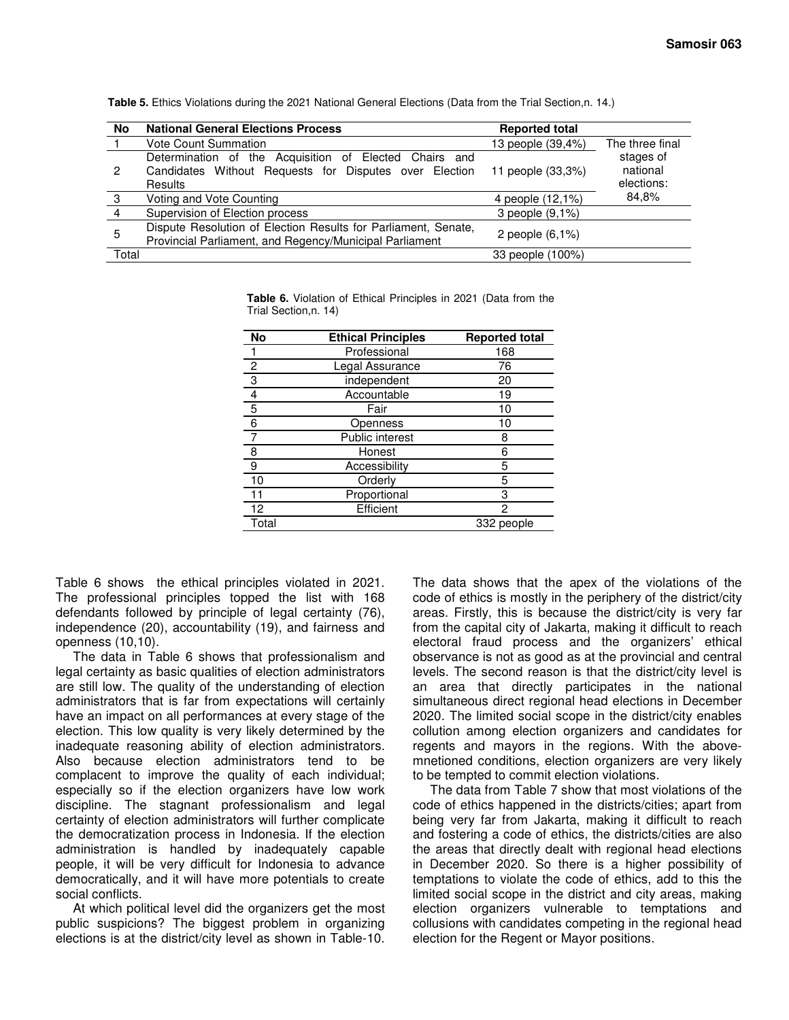| No    | <b>National General Elections Process</b>                                                                                   | <b>Reported total</b> |                                     |
|-------|-----------------------------------------------------------------------------------------------------------------------------|-----------------------|-------------------------------------|
|       | <b>Vote Count Summation</b>                                                                                                 | 13 people (39,4%)     | The three final                     |
| 2     | Determination of the Acquisition of Elected Chairs and<br>Candidates Without Requests for Disputes over Election<br>Results | 11 people (33,3%)     | stages of<br>national<br>elections: |
| -3    | Voting and Vote Counting                                                                                                    | 4 people (12,1%)      | 84.8%                               |
| 4     | Supervision of Election process                                                                                             | 3 people (9.1%)       |                                     |
| 5     | Dispute Resolution of Election Results for Parliament, Senate,<br>Provincial Parliament, and Regency/Municipal Parliament   |                       |                                     |
| Total |                                                                                                                             | 33 people (100%)      |                                     |

**Table 5.** Ethics Violations during the 2021 National General Elections (Data from the Trial Section,n. 14*.*)

**Table 6.** Violation of Ethical Principles in 2021 (Data from the Trial Section,n. 14)

| <b>No</b> | <b>Ethical Principles</b> | <b>Reported total</b> |
|-----------|---------------------------|-----------------------|
|           | Professional              | 168                   |
| 2         | Legal Assurance           | 76                    |
| 3         | independent               | 20                    |
| 4         | Accountable               | 19                    |
| 5         | Fair                      | 10                    |
| 6         | Openness                  | 10                    |
| 7         | Public interest           | 8                     |
| 8         | Honest                    | 6                     |
| 9         | Accessibility             | 5                     |
| 10        | Orderly                   | 5                     |
| 11        | Proportional              | 3                     |
| 12        | Efficient                 | 2                     |
| Total     |                           | 332 people            |

Table 6 shows the ethical principles violated in 2021. The professional principles topped the list with 168 defendants followed by principle of legal certainty (76), independence (20), accountability (19), and fairness and openness (10,10).

The data in Table 6 shows that professionalism and legal certainty as basic qualities of election administrators are still low. The quality of the understanding of election administrators that is far from expectations will certainly have an impact on all performances at every stage of the election. This low quality is very likely determined by the inadequate reasoning ability of election administrators. Also because election administrators tend to be complacent to improve the quality of each individual; especially so if the election organizers have low work discipline. The stagnant professionalism and legal certainty of election administrators will further complicate the democratization process in Indonesia. If the election administration is handled by inadequately capable people, it will be very difficult for Indonesia to advance democratically, and it will have more potentials to create social conflicts.

At which political level did the organizers get the most public suspicions? The biggest problem in organizing elections is at the district/city level as shown in Table-10.

The data shows that the apex of the violations of the code of ethics is mostly in the periphery of the district/city areas. Firstly, this is because the district/city is very far from the capital city of Jakarta, making it difficult to reach electoral fraud process and the organizers' ethical observance is not as good as at the provincial and central levels. The second reason is that the district/city level is an area that directly participates in the national simultaneous direct regional head elections in December 2020. The limited social scope in the district/city enables collution among election organizers and candidates for regents and mayors in the regions. With the abovemnetioned conditions, election organizers are very likely to be tempted to commit election violations.

The data from Table 7 show that most violations of the code of ethics happened in the districts/cities; apart from being very far from Jakarta, making it difficult to reach and fostering a code of ethics, the districts/cities are also the areas that directly dealt with regional head elections in December 2020. So there is a higher possibility of temptations to violate the code of ethics, add to this the limited social scope in the district and city areas, making election organizers vulnerable to temptations and collusions with candidates competing in the regional head election for the Regent or Mayor positions.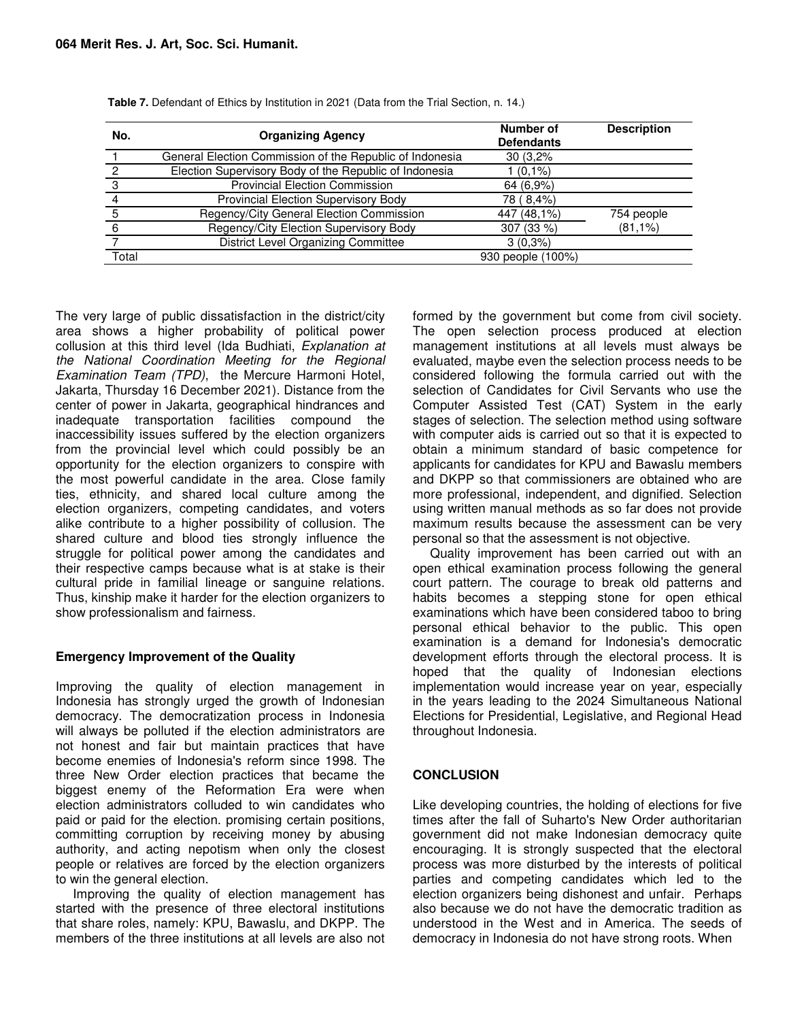| No.   | <b>Organizing Agency</b>                                 | Number of<br><b>Defendants</b> | <b>Description</b> |
|-------|----------------------------------------------------------|--------------------------------|--------------------|
|       | General Election Commission of the Republic of Indonesia | 30(3,2%                        |                    |
|       | Election Supervisory Body of the Republic of Indonesia   | $(0,1\%)$                      |                    |
| 3     | <b>Provincial Election Commission</b>                    | 64 (6,9%)                      |                    |
|       | Provincial Election Supervisory Body                     | 78 (8,4%)                      |                    |
|       | Regency/City General Election Commission                 | 447 (48,1%)                    | 754 people         |
| 6     | Regency/City Election Supervisory Body                   | 307 (33 %)                     | $(81,1\%)$         |
|       | District Level Organizing Committee                      | $3(0.3\%)$                     |                    |
| Total |                                                          | 930 people (100%)              |                    |

**Table 7.** Defendant of Ethics by Institution in 2021 (Data from the Trial Section, n. 14*.*)

The very large of public dissatisfaction in the district/city area shows a higher probability of political power collusion at this third level (Ida Budhiati, *Explanation at the National Coordination Meeting for the Regional Examination Team (TPD)*, the Mercure Harmoni Hotel, Jakarta, Thursday 16 December 2021). Distance from the center of power in Jakarta, geographical hindrances and inadequate transportation facilities compound the inaccessibility issues suffered by the election organizers from the provincial level which could possibly be an opportunity for the election organizers to conspire with the most powerful candidate in the area. Close family ties, ethnicity, and shared local culture among the election organizers, competing candidates, and voters alike contribute to a higher possibility of collusion. The shared culture and blood ties strongly influence the struggle for political power among the candidates and their respective camps because what is at stake is their cultural pride in familial lineage or sanguine relations. Thus, kinship make it harder for the election organizers to show professionalism and fairness.

#### **Emergency Improvement of the Quality**

Improving the quality of election management in Indonesia has strongly urged the growth of Indonesian democracy. The democratization process in Indonesia will always be polluted if the election administrators are not honest and fair but maintain practices that have become enemies of Indonesia's reform since 1998. The three New Order election practices that became the biggest enemy of the Reformation Era were when election administrators colluded to win candidates who paid or paid for the election. promising certain positions, committing corruption by receiving money by abusing authority, and acting nepotism when only the closest people or relatives are forced by the election organizers to win the general election.

Improving the quality of election management has started with the presence of three electoral institutions that share roles, namely: KPU, Bawaslu, and DKPP. The members of the three institutions at all levels are also not

formed by the government but come from civil society. The open selection process produced at election management institutions at all levels must always be evaluated, maybe even the selection process needs to be considered following the formula carried out with the selection of Candidates for Civil Servants who use the Computer Assisted Test (CAT) System in the early stages of selection. The selection method using software with computer aids is carried out so that it is expected to obtain a minimum standard of basic competence for applicants for candidates for KPU and Bawaslu members and DKPP so that commissioners are obtained who are more professional, independent, and dignified. Selection using written manual methods as so far does not provide maximum results because the assessment can be very personal so that the assessment is not objective.

Quality improvement has been carried out with an open ethical examination process following the general court pattern. The courage to break old patterns and habits becomes a stepping stone for open ethical examinations which have been considered taboo to bring personal ethical behavior to the public. This open examination is a demand for Indonesia's democratic development efforts through the electoral process. It is hoped that the quality of Indonesian elections implementation would increase year on year, especially in the years leading to the 2024 Simultaneous National Elections for Presidential, Legislative, and Regional Head throughout Indonesia.

# **CONCLUSION**

Like developing countries, the holding of elections for five times after the fall of Suharto's New Order authoritarian government did not make Indonesian democracy quite encouraging. It is strongly suspected that the electoral process was more disturbed by the interests of political parties and competing candidates which led to the election organizers being dishonest and unfair. Perhaps also because we do not have the democratic tradition as understood in the West and in America. The seeds of democracy in Indonesia do not have strong roots. When